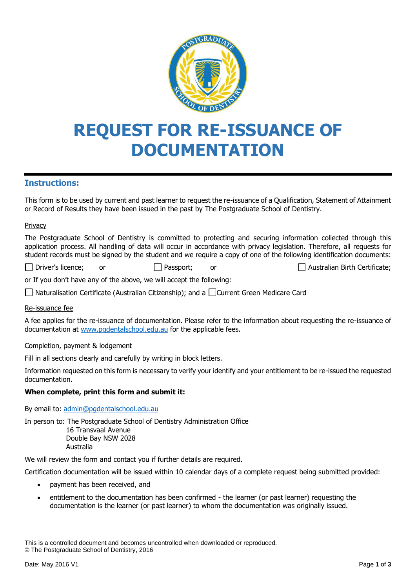

# **REQUEST FOR RE-ISSUANCE OF DOCUMENTATION**

## **Instructions:**

This form is to be used by current and past learner to request the re-issuance of a Qualification, Statement of Attainment or Record of Results they have been issued in the past by The Postgraduate School of Dentistry.

#### Privacy

The Postgraduate School of Dentistry is committed to protecting and securing information collected through this application process. All handling of data will occur in accordance with privacy legislation. Therefore, all requests for student records must be signed by the student and we require a copy of one of the following identification documents:

Driver's licence; or **Passport; or**  $\Box$  Passport; or  $\Box$  Australian Birth Certificate;

or If you don't have any of the above, we will accept the following:

 $\Box$  Naturalisation Certificate (Australian Citizenship); and a  $\Box$  Current Green Medicare Card

#### Re-issuance fee

A fee applies for the re-issuance of documentation. Please refer to the information about requesting the re-issuance of documentation at [www.pgdentalschool.edu.au](http://www.pgdentalschool.edu.au/) for the applicable fees.

#### Completion, payment & lodgement

Fill in all sections clearly and carefully by writing in block letters.

Information requested on this form is necessary to verify your identify and your entitlement to be re-issued the requested documentation.

#### **When complete, print this form and submit it:**

By email to: [admin@pgdentalschool.edu.au](mailto:admin@pgdentalschool.edu.au)

In person to: The Postgraduate School of Dentistry Administration Office

 16 Transvaal Avenue Double Bay NSW 2028 Australia

We will review the form and contact you if further details are required.

Certification documentation will be issued within 10 calendar days of a complete request being submitted provided:

- payment has been received, and
- entitlement to the documentation has been confirmed the learner (or past learner) requesting the documentation is the learner (or past learner) to whom the documentation was originally issued.

This is a controlled document and becomes uncontrolled when downloaded or reproduced. © The Postgraduate School of Dentistry, 2016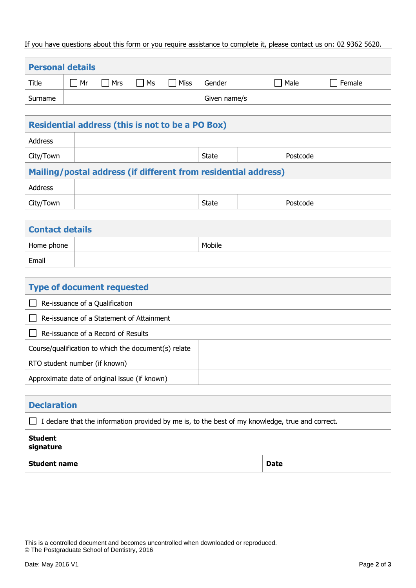### If you have questions about this form or you require assistance to complete it, please contact us on: 02 9362 5620.

| <b>Personal details</b> |    |     |    |             |              |      |        |
|-------------------------|----|-----|----|-------------|--------------|------|--------|
| Title                   | Mr | Mrs | Ms | <b>Miss</b> | Gender       | Male | Female |
| Surname                 |    |     |    |             | Given name/s |      |        |

| <b>Residential address (this is not to be a PO Box)</b>        |       |  |          |  |  |
|----------------------------------------------------------------|-------|--|----------|--|--|
|                                                                |       |  |          |  |  |
|                                                                | State |  | Postcode |  |  |
| Mailing/postal address (if different from residential address) |       |  |          |  |  |
|                                                                |       |  |          |  |  |
|                                                                | State |  | Postcode |  |  |
|                                                                |       |  |          |  |  |

| <b>Contact details</b> |  |        |  |  |  |
|------------------------|--|--------|--|--|--|
| Home phone             |  | Mobile |  |  |  |
| Email                  |  |        |  |  |  |

| <b>Type of document requested</b>                    |  |  |  |
|------------------------------------------------------|--|--|--|
| Re-issuance of a Qualification                       |  |  |  |
| Re-issuance of a Statement of Attainment             |  |  |  |
| Re-issuance of a Record of Results                   |  |  |  |
| Course/qualification to which the document(s) relate |  |  |  |
| RTO student number (if known)                        |  |  |  |
| Approximate date of original issue (if known)        |  |  |  |

| <b>Declaration</b>                                                                                         |  |             |  |  |
|------------------------------------------------------------------------------------------------------------|--|-------------|--|--|
| I declare that the information provided by me is, to the best of my knowledge, true and correct.<br>$\Box$ |  |             |  |  |
| <b>Student</b><br>signature                                                                                |  |             |  |  |
| <b>Student name</b>                                                                                        |  | <b>Date</b> |  |  |

This is a controlled document and becomes uncontrolled when downloaded or reproduced. © The Postgraduate School of Dentistry, 2016